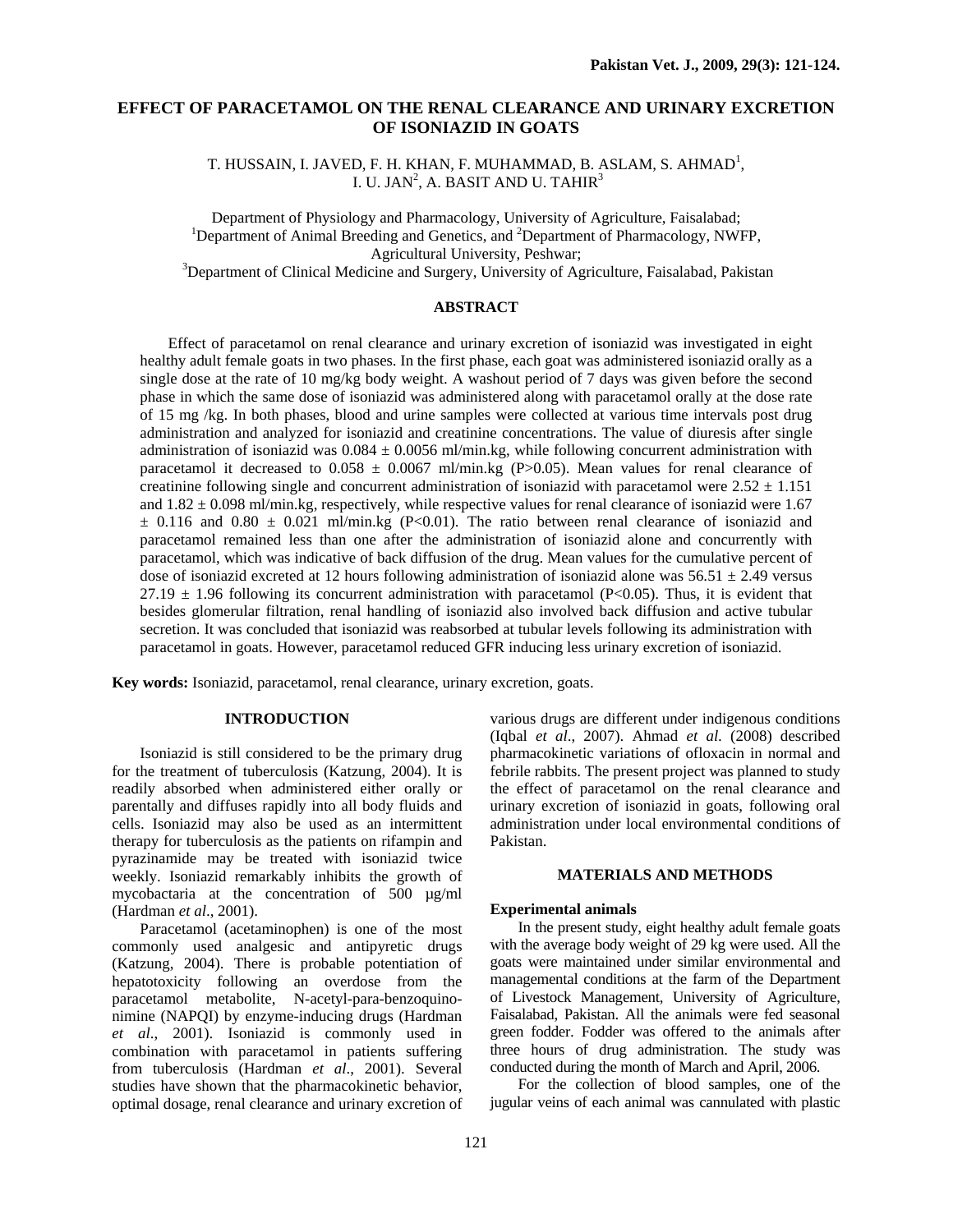# **EFFECT OF PARACETAMOL ON THE RENAL CLEARANCE AND URINARY EXCRETION OF ISONIAZID IN GOATS**

T. HUSSAIN, I. JAVED, F. H. KHAN, F. MUHAMMAD, B. ASLAM, S. AHMAD<sup>1</sup>, I. U. JAN<sup>2</sup>, A. BASIT AND U. TAHIR<sup>3</sup>

Department of Physiology and Pharmacology, University of Agriculture, Faisalabad; 1 Department of Animal Breeding and Genetics, and <sup>2</sup>Department of Pharmacology, NWFP, Agricultural University, Peshwar;<br><sup>3</sup>Department of Clinical Medicine and Surgery, University of Agriculture, Faisalabad, Pakistan

# **ABSTRACT**

Effect of paracetamol on renal clearance and urinary excretion of isoniazid was investigated in eight healthy adult female goats in two phases. In the first phase, each goat was administered isoniazid orally as a single dose at the rate of 10 mg/kg body weight. A washout period of 7 days was given before the second phase in which the same dose of isoniazid was administered along with paracetamol orally at the dose rate of 15 mg /kg. In both phases, blood and urine samples were collected at various time intervals post drug administration and analyzed for isoniazid and creatinine concentrations. The value of diuresis after single administration of isoniazid was  $0.084 \pm 0.0056$  ml/min.kg, while following concurrent administration with paracetamol it decreased to  $0.058 \pm 0.0067$  ml/min.kg (P>0.05). Mean values for renal clearance of creatinine following single and concurrent administration of isoniazid with paracetamol were  $2.52 \pm 1.151$ and  $1.82 \pm 0.098$  ml/min.kg, respectively, while respective values for renal clearance of isoniazid were 1.67  $\pm$  0.116 and 0.80  $\pm$  0.021 ml/min.kg (P<0.01). The ratio between renal clearance of isoniazid and paracetamol remained less than one after the administration of isoniazid alone and concurrently with paracetamol, which was indicative of back diffusion of the drug. Mean values for the cumulative percent of dose of isoniazid excreted at 12 hours following administration of isoniazid alone was  $56.51 \pm 2.49$  versus  $27.19 \pm 1.96$  following its concurrent administration with paracetamol (P<0.05). Thus, it is evident that besides glomerular filtration, renal handling of isoniazid also involved back diffusion and active tubular secretion. It was concluded that isoniazid was reabsorbed at tubular levels following its administration with paracetamol in goats. However, paracetamol reduced GFR inducing less urinary excretion of isoniazid.

**Key words:** Isoniazid, paracetamol, renal clearance, urinary excretion, goats.

## **INTRODUCTION**

Isoniazid is still considered to be the primary drug for the treatment of tuberculosis (Katzung, 2004). It is readily absorbed when administered either orally or parentally and diffuses rapidly into all body fluids and cells. Isoniazid may also be used as an intermittent therapy for tuberculosis as the patients on rifampin and pyrazinamide may be treated with isoniazid twice weekly. Isoniazid remarkably inhibits the growth of mycobactaria at the concentration of 500 µg/ml (Hardman *et al*., 2001).

Paracetamol (acetaminophen) is one of the most commonly used analgesic and antipyretic drugs (Katzung, 2004). There is probable potentiation of hepatotoxicity following an overdose from the paracetamol metabolite, N-acetyl-para-benzoquinonimine (NAPQI) by enzyme-inducing drugs (Hardman *et al*., 2001). Isoniazid is commonly used in combination with paracetamol in patients suffering from tuberculosis (Hardman *et al*., 2001). Several studies have shown that the pharmacokinetic behavior, optimal dosage, renal clearance and urinary excretion of various drugs are different under indigenous conditions (Iqbal *et al*., 2007). Ahmad *et al*. (2008) described pharmacokinetic variations of ofloxacin in normal and febrile rabbits. The present project was planned to study the effect of paracetamol on the renal clearance and urinary excretion of isoniazid in goats, following oral administration under local environmental conditions of Pakistan.

### **MATERIALS AND METHODS**

#### **Experimental animals**

In the present study, eight healthy adult female goats with the average body weight of 29 kg were used. All the goats were maintained under similar environmental and managemental conditions at the farm of the Department of Livestock Management, University of Agriculture, Faisalabad, Pakistan. All the animals were fed seasonal green fodder. Fodder was offered to the animals after three hours of drug administration. The study was conducted during the month of March and April, 2006.

For the collection of blood samples, one of the jugular veins of each animal was cannulated with plastic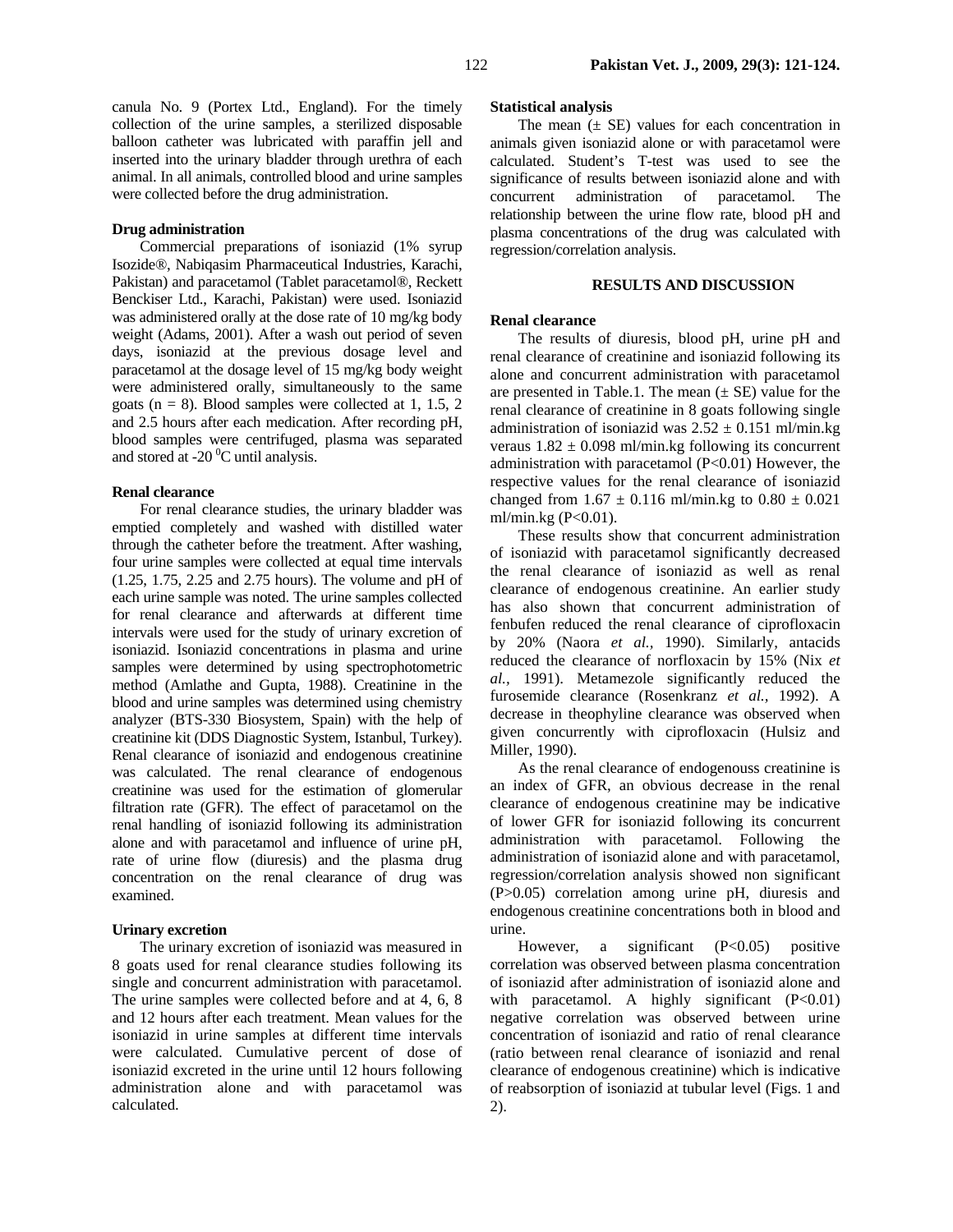canula No. 9 (Portex Ltd., England). For the timely collection of the urine samples, a sterilized disposable balloon catheter was lubricated with paraffin jell and inserted into the urinary bladder through urethra of each animal. In all animals, controlled blood and urine samples were collected before the drug administration.

### **Drug administration**

Commercial preparations of isoniazid (1% syrup Isozide®, Nabiqasim Pharmaceutical Industries, Karachi, Pakistan) and paracetamol (Tablet paracetamol®, Reckett Benckiser Ltd., Karachi, Pakistan) were used. Isoniazid was administered orally at the dose rate of 10 mg/kg body weight (Adams, 2001). After a wash out period of seven days, isoniazid at the previous dosage level and paracetamol at the dosage level of 15 mg/kg body weight were administered orally, simultaneously to the same goats ( $n = 8$ ). Blood samples were collected at 1, 1.5, 2 and 2.5 hours after each medication. After recording pH, blood samples were centrifuged, plasma was separated and stored at -20 $\mathrm{^0C}$  until analysis.

#### **Renal clearance**

For renal clearance studies, the urinary bladder was emptied completely and washed with distilled water through the catheter before the treatment. After washing, four urine samples were collected at equal time intervals (1.25, 1.75, 2.25 and 2.75 hours). The volume and pH of each urine sample was noted. The urine samples collected for renal clearance and afterwards at different time intervals were used for the study of urinary excretion of isoniazid. Isoniazid concentrations in plasma and urine samples were determined by using spectrophotometric method (Amlathe and Gupta, 1988). Creatinine in the blood and urine samples was determined using chemistry analyzer (BTS-330 Biosystem, Spain) with the help of creatinine kit (DDS Diagnostic System, Istanbul, Turkey). Renal clearance of isoniazid and endogenous creatinine was calculated. The renal clearance of endogenous creatinine was used for the estimation of glomerular filtration rate (GFR). The effect of paracetamol on the renal handling of isoniazid following its administration alone and with paracetamol and influence of urine pH, rate of urine flow (diuresis) and the plasma drug concentration on the renal clearance of drug was examined.

#### **Urinary excretion**

The urinary excretion of isoniazid was measured in 8 goats used for renal clearance studies following its single and concurrent administration with paracetamol. The urine samples were collected before and at 4, 6, 8 and 12 hours after each treatment. Mean values for the isoniazid in urine samples at different time intervals were calculated. Cumulative percent of dose of isoniazid excreted in the urine until 12 hours following administration alone and with paracetamol was calculated.

#### **Statistical analysis**

The mean  $(\pm \text{ SE})$  values for each concentration in animals given isoniazid alone or with paracetamol were calculated. Student's T-test was used to see the significance of results between isoniazid alone and with concurrent administration of paracetamol. The relationship between the urine flow rate, blood pH and plasma concentrations of the drug was calculated with regression/correlation analysis.

### **RESULTS AND DISCUSSION**

#### **Renal clearance**

The results of diuresis, blood pH, urine pH and renal clearance of creatinine and isoniazid following its alone and concurrent administration with paracetamol are presented in Table.1. The mean  $(\pm S E)$  value for the renal clearance of creatinine in 8 goats following single administration of isoniazid was  $2.52 \pm 0.151$  ml/min.kg veraus  $1.82 \pm 0.098$  ml/min.kg following its concurrent administration with paracetamol (P<0.01) However, the respective values for the renal clearance of isoniazid changed from  $1.67 \pm 0.116$  ml/min.kg to  $0.80 \pm 0.021$ ml/min.kg (P<0.01).

These results show that concurrent administration of isoniazid with paracetamol significantly decreased the renal clearance of isoniazid as well as renal clearance of endogenous creatinine. An earlier study has also shown that concurrent administration of fenbufen reduced the renal clearance of ciprofloxacin by 20% (Naora *et al.,* 1990). Similarly, antacids reduced the clearance of norfloxacin by 15% (Nix *et al.,* 1991). Metamezole significantly reduced the furosemide clearance (Rosenkranz *et al.,* 1992). A decrease in theophyline clearance was observed when given concurrently with ciprofloxacin (Hulsiz and Miller, 1990).

As the renal clearance of endogenouss creatinine is an index of GFR, an obvious decrease in the renal clearance of endogenous creatinine may be indicative of lower GFR for isoniazid following its concurrent administration with paracetamol. Following the administration of isoniazid alone and with paracetamol, regression/correlation analysis showed non significant (P>0.05) correlation among urine pH, diuresis and endogenous creatinine concentrations both in blood and urine.

However, a significant  $(P<0.05)$  positive correlation was observed between plasma concentration of isoniazid after administration of isoniazid alone and with paracetamol. A highly significant  $(P<0.01)$ negative correlation was observed between urine concentration of isoniazid and ratio of renal clearance (ratio between renal clearance of isoniazid and renal clearance of endogenous creatinine) which is indicative of reabsorption of isoniazid at tubular level (Figs. 1 and 2).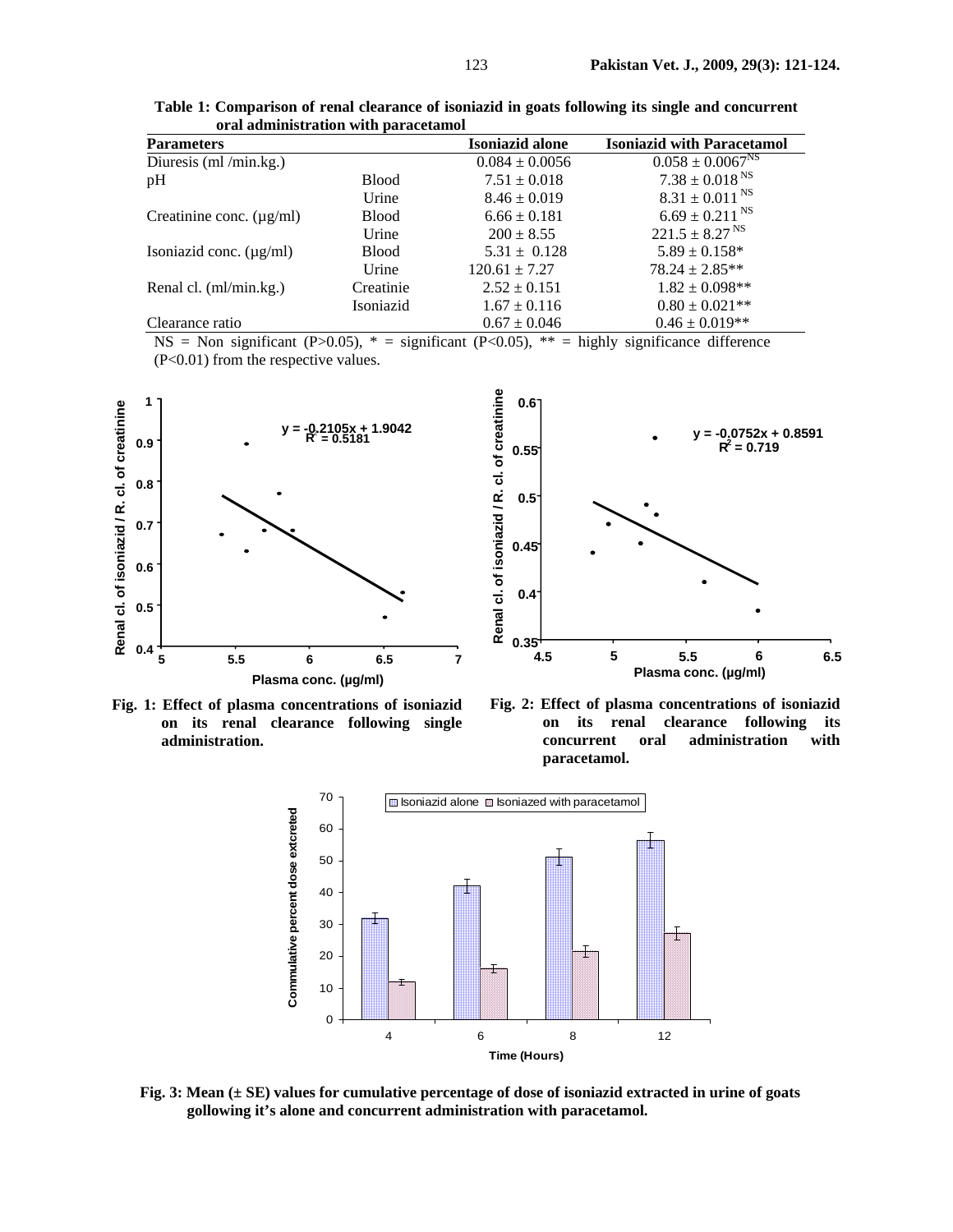| <u>oran auninibu auon with paracelamor</u> |              |                    |                                   |
|--------------------------------------------|--------------|--------------------|-----------------------------------|
| <b>Parameters</b>                          |              | Isoniazid alone    | <b>Isoniazid with Paracetamol</b> |
| Diuresis (ml /min.kg.)                     |              | $0.084 \pm 0.0056$ | $0.058 \pm 0.0067^{\text{NS}}$    |
| pH                                         | <b>Blood</b> | $7.51 \pm 0.018$   | $7.38 \pm 0.018$ <sup>NS</sup>    |
|                                            | Urine        | $8.46 \pm 0.019$   | $8.31 \pm 0.011$ <sup>NS</sup>    |
| Creatinine conc. $(\mu g/ml)$              | <b>Blood</b> | $6.66 \pm 0.181$   | $6.69 \pm 0.211$ <sup>NS</sup>    |
|                                            | Urine        | $200 \pm 8.55$     | $221.5 \pm 8.27$ <sup>NS</sup>    |
| Isoniazid conc. $(\mu g/ml)$               | <b>Blood</b> | $5.31 \pm 0.128$   | $5.89 \pm 0.158^*$                |
|                                            | Urine        | $120.61 \pm 7.27$  | $78.24 \pm 2.85**$                |
| Renal cl. (ml/min.kg.)                     | Creatinie    | $2.52 \pm 0.151$   | $1.82 \pm 0.098**$                |
|                                            | Isoniazid    | $1.67 \pm 0.116$   | $0.80 \pm 0.021$ **               |
| Clearance ratio                            |              | $0.67 \pm 0.046$   | $0.46 \pm 0.019**$                |

**Table 1: Comparison of renal clearance of isoniazid in goats following its single and concurrent oral administration with paracetamol** 

NS = Non significant (P>0.05),  $* =$  significant (P<0.05),  $** =$  highly significance difference (P<0.01) from the respective values.







**Fig. 2: Effect of plasma concentrations of isoniazid on its renal clearance following its concurrent oral administration with paracetamol.** 



**Fig. 3: Mean (± SE) values for cumulative percentage of dose of isoniazid extracted in urine of goats gollowing it's alone and concurrent administration with paracetamol.**